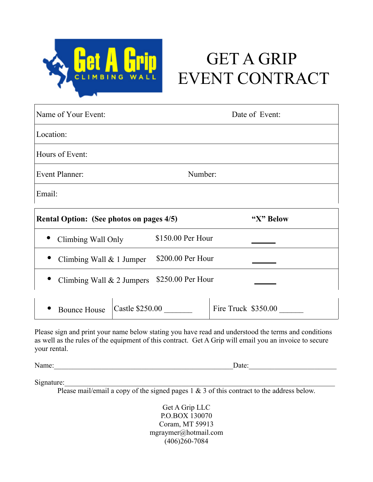

# GET A GRIP EVENT CONTRACT

| Name of Your Event:                             |                   | Date of Event: |  |  |
|-------------------------------------------------|-------------------|----------------|--|--|
| Location:                                       |                   |                |  |  |
| Hours of Event:                                 |                   |                |  |  |
| <b>Event Planner:</b><br>Number:                |                   |                |  |  |
| Email:                                          |                   |                |  |  |
| <b>Rental Option: (See photos on pages 4/5)</b> |                   | "X" Below      |  |  |
| Climbing Wall Only                              | \$150.00 Per Hour |                |  |  |
| Climbing Wall $& 1$ Jumper                      | \$200.00 Per Hour |                |  |  |
| Climbing Wall $& 2$ Jumpers                     | \$250.00 Per Hour |                |  |  |

|  | Bounce House Castle \$250.00 |  | Fire Truck $$350.00$ |
|--|------------------------------|--|----------------------|
|--|------------------------------|--|----------------------|

Please sign and print your name below stating you have read and understood the terms and conditions as well as the rules of the equipment of this contract. Get A Grip will email you an invoice to secure your rental.

Name: <u>Date:</u>

Signature:

Please mail/email a copy of the signed pages 1 & 3 of this contract to the address below.

Get A Grip LLC P.O.BOX 130070 Coram, MT 59913 mgraymer@hotmail.com  $(406)260 - 7084$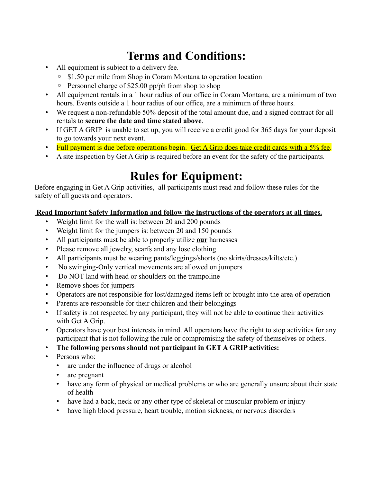## **Terms and Conditions:**

- All equipment is subject to a delivery fee.
	- \$1.50 per mile from Shop in Coram Montana to operation location
	- Personnel charge of \$25.00 pp/ph from shop to shop
- All equipment rentals in a 1 hour radius of our office in Coram Montana, are a minimum of two hours. Events outside a 1 hour radius of our office, are a minimum of three hours.
- We request a non-refundable 50% deposit of the total amount due, and a signed contract for all rentals to **secure the date and time stated above**.
- If GET A GRIP is unable to set up, you will receive a credit good for 365 days for your deposit to go towards your next event.
- Full payment is due before operations begin. Get A Grip does take credit cards with a 5% fee.
- A site inspection by Get A Grip is required before an event for the safety of the participants.

# **Rules for Equipment:**

Before engaging in Get A Grip activities, all participants must read and follow these rules for the safety of all guests and operators.

#### **Read Important Safety Information and follow the instructions of the operators at all times.**

- Weight limit for the wall is: between 20 and 200 pounds
- Weight limit for the jumpers is: between 20 and 150 pounds
- All participants must be able to properly utilize **our** harnesses
- Please remove all jewelry, scarfs and any lose clothing
- All participants must be wearing pants/leggings/shorts (no skirts/dresses/kilts/etc.)
- No swinging-Only vertical movements are allowed on jumpers
- Do NOT land with head or shoulders on the trampoline
- Remove shoes for jumpers
- Operators are not responsible for lost/damaged items left or brought into the area of operation
- Parents are responsible for their children and their belongings
- If safety is not respected by any participant, they will not be able to continue their activities with Get A Grip.
- Operators have your best interests in mind. All operators have the right to stop activities for any participant that is not following the rule or compromising the safety of themselves or others.
- **The following persons should not participant in GET A GRIP activities:**
- Persons who:
	- are under the influence of drugs or alcohol
	- are pregnant
	- have any form of physical or medical problems or who are generally unsure about their state of health
	- have had a back, neck or any other type of skeletal or muscular problem or injury
	- have high blood pressure, heart trouble, motion sickness, or nervous disorders